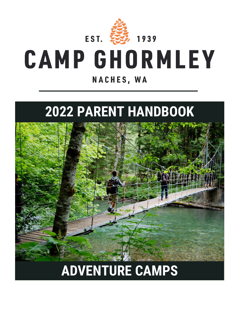

# **CAMP GHORMLEY** NACHES, WA

## **2022 PARENT HANDBOOK**



## **ADVENTURE CAMPS**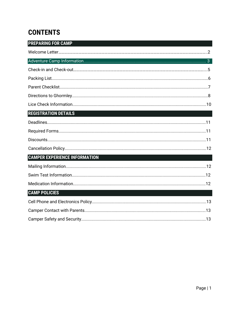## **CONTENTS**

| <b>PREPARING FOR CAMP</b>            |
|--------------------------------------|
|                                      |
|                                      |
|                                      |
|                                      |
|                                      |
|                                      |
|                                      |
| <b>REGISTRATION DETAILS</b>          |
|                                      |
|                                      |
|                                      |
|                                      |
| <b>CAMPER EXPERIENCE INFORMATION</b> |
|                                      |
|                                      |
|                                      |
| <b>CAMP POLICIES</b>                 |
|                                      |
|                                      |
|                                      |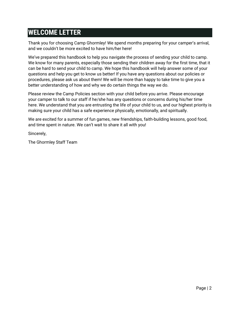## **WELCOME LETTER**

Thank you for choosing Camp Ghormley! We spend months preparing for your camper's arrival, and we couldn't be more excited to have him/her here!

We've prepared this handbook to help you navigate the process of sending your child to camp. We know for many parents, especially those sending their children away for the first time, that it can be hard to send your child to camp. We hope this handbook will help answer some of your questions and help you get to know us better! If you have any questions about our policies or procedures, please ask us about them! We will be more than happy to take time to give you a better understanding of how and why we do certain things the way we do.

Please review the Camp Policies section with your child before you arrive. Please encourage your camper to talk to our staff if he/she has any questions or concerns during his/her time here. We understand that you are entrusting the life of your child to us, and our highest priority is making sure your child has a safe experience physically, emotionally, and spiritually.

We are excited for a summer of fun games, new friendships, faith-building lessons, good food, and time spent in nature. We can't wait to share it all with you!

Sincerely,

The Ghormley Staff Team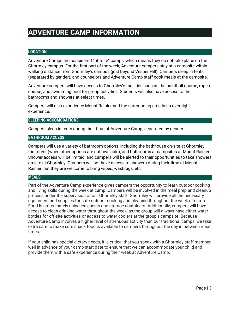## **ADVENTURE CAMP INFORMATION**

#### **LOCATION**

Adventure Camps are considered "off-site" camps, which means they do not take place on the Ghormley campus. For the first part of the week, Adventure campers stay at a campsite within walking distance from Ghormley's campus (just beyond Vesper Hill). Campers sleep in tents (separated by gender), and counselors and Adventure Camp staff cook meals at the campsite.

Adventure campers will have access to Ghormley's facilities such as the paintball course, ropes course, and swimming pool for group activities. Students will also have access to the bathrooms and showers at select times.

Campers will also experience Mount Rainier and the surrounding area in an overnight experience.

#### **SLEEPING ACCOMODATIONS**

Campers sleep in tents during their time at Adventure Camp, separated by gender.

#### **BATHROOM ACCESS**

Campers will use a variety of bathroom options, including the bathhouse on-site at Ghormley, the forest (when other options are not available), and bathrooms at campsites at Mount Rainier. Shower access will be limited, and campers will be alerted to their opportunities to take showers on-site at Ghormley. Campers will not have access to showers during their time at Mount Rainier, but they are welcome to bring wipes, washrags, etc.

#### **MEALS**

Part of the Adventure Camp experience gives campers the opportunity to learn outdoor cooking and living skills during the week at camp. Campers will be involved in the meal prep and cleanup process under the supervision of our Ghormley staff. Ghormley will provide all the necessary equipment and supplies for safe outdoor cooking and cleaning throughout the week of camp. Food is stored safely using ice chests and storage containers. Additionally, campers will have access to clean drinking water throughout the week, as the group will always have either water bottles for off-site activities or access to water coolers at the group's campsite. Because Adventure Camp involves a higher level of strenuous activity than our traditional camps, we take extra care to make sure snack food is available to campers throughout the day in between meal times.

If your child has special dietary needs, it is critical that you speak with a Ghormley staff member well in advance of your camp start date to ensure that we can accommodate your child and provide them with a safe experience during their week at Adventure Camp.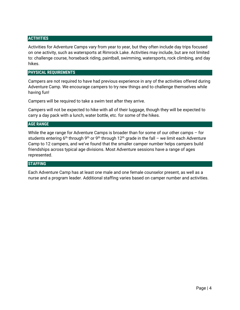#### **ACTIVITIES**

Activities for Adventure Camps vary from year to year, but they often include day trips focused on one activity, such as watersports at Rimrock Lake. Activities may include, but are not limited to: challenge course, horseback riding, paintball, swimming, watersports, rock climbing, and day hikes.

#### **PHYSICAL REQUIREMENTS**

Campers are not required to have had previous experience in any of the activities offered during Adventure Camp. We encourage campers to try new things and to challenge themselves while having fun!

Campers will be required to take a swim test after they arrive.

Campers will not be expected to hike with all of their luggage, though they will be expected to carry a day pack with a lunch, water bottle, etc. for some of the hikes.

#### **AGE RANGE**

While the age range for Adventure Camps is broader than for some of our other camps – for students entering 6<sup>th</sup> through 9<sup>th</sup> or 9<sup>th</sup> through 12<sup>th</sup> grade in the fall – we limit each Adventure Camp to 12 campers, and we've found that the smaller camper number helps campers build friendships across typical age divisions. Most Adventure sessions have a range of ages represented.

#### **STAFFING**

Each Adventure Camp has at least one male and one female counselor present, as well as a nurse and a program leader. Additional staffing varies based on camper number and activities.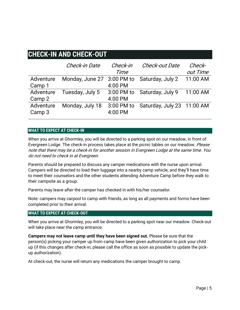## **CHECK-IN AND CHECK-OUT**

.

|                     | Check-in Date              | Check-in<br>Time      | Check-out Date             | Check-<br>out Time |
|---------------------|----------------------------|-----------------------|----------------------------|--------------------|
| Adventure           | Monday, June 27 3:00 PM to |                       | Saturday, July 2           | 11:00 AM           |
| Camp 1              |                            | 4:00 PM               |                            |                    |
| Adventure           | Tuesday, July 5            | 3:00 PM to            | Saturday, July 9           | 11:00 AM           |
| Camp 2              |                            | 4:00 PM               |                            |                    |
| Adventure<br>Camp 3 | Monday, July 18            | 3:00 PM to<br>4:00 PM | Saturday, July 23 11:00 AM |                    |

#### **WHAT TO EXPECT AT CHECK-IN**

When you arrive at Ghormley, you will be directed to a parking spot on our meadow, in front of Evergreen Lodge. The check-in process takes place at the picnic tables on our meadow. Please note that there may be a check-in for another session in Evergreen Lodge at the same time. You do not need to check in at Evergreen.

Parents should be prepared to discuss any camper medications with the nurse upon arrival. Campers will be directed to load their luggage into a nearby camp vehicle, and they'll have time to meet their counselors and the other students attending Adventure Camp before they walk to their campsite as a group.

Parents may leave after the camper has checked in with his/her counselor.

Note: campers may carpool to camp with friends, as long as all payments and forms have been completed prior to their arrival.

#### **WHAT TO EXPECT AT CHECK-OUT**

When you arrive at Ghormley, you will be directed to a parking spot near our meadow. Check-out will take place near the camp entrance.

**Campers may not leave camp until they have been signed out.** Please be sure that the person(s) picking your camper up from camp have been given authorization to pick your child up (if this changes after check-in, please call the office as soon as possible to update the pickup authorization).

At check-out, the nurse will return any medications the camper brought to camp.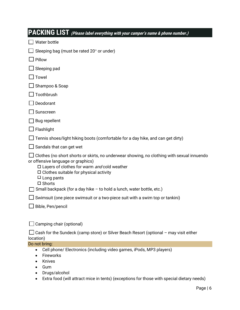| PACKING LIST (Please label everything with your camper's name & phone number.)                                                                                                                                                                                                |
|-------------------------------------------------------------------------------------------------------------------------------------------------------------------------------------------------------------------------------------------------------------------------------|
| Water bottle                                                                                                                                                                                                                                                                  |
| Sleeping bag (must be rated 20° or under)                                                                                                                                                                                                                                     |
| Pillow                                                                                                                                                                                                                                                                        |
| Sleeping pad                                                                                                                                                                                                                                                                  |
| Towel                                                                                                                                                                                                                                                                         |
| Shampoo & Soap                                                                                                                                                                                                                                                                |
| Toothbrush                                                                                                                                                                                                                                                                    |
| Deodorant                                                                                                                                                                                                                                                                     |
| Sunscreen                                                                                                                                                                                                                                                                     |
| Bug repellent                                                                                                                                                                                                                                                                 |
| Flashlight                                                                                                                                                                                                                                                                    |
| Tennis shoes/light hiking boots (comfortable for a day hike, and can get dirty)                                                                                                                                                                                               |
| Sandals that can get wet                                                                                                                                                                                                                                                      |
| Clothes (no short shorts or skirts, no underwear showing, no clothing with sexual innuendo<br>or offensive language or graphics)<br>$\Box$ Layers of clothes for warm and cold weather<br>$\Box$ Clothes suitable for physical activity<br>$\Box$ Long pants<br>$\Box$ Shorts |
| Small backpack (for a day hike - to hold a lunch, water bottle, etc.)                                                                                                                                                                                                         |
| Swimsuit (one piece swimsuit or a two-piece suit with a swim top or tankini)                                                                                                                                                                                                  |
| Bible, Pen/pencil                                                                                                                                                                                                                                                             |
| Camping chair (optional)                                                                                                                                                                                                                                                      |
| Cash for the Sundeck (camp store) or Silver Beach Resort (optional - may visit either<br>location)                                                                                                                                                                            |
| Do not bring:                                                                                                                                                                                                                                                                 |
| Cell phone/ Electronics (including video games, iPods, MP3 players)<br>Fireworks<br>Knives<br>Gum<br>Drugs/alcohol                                                                                                                                                            |
| Extra food (will attract mice in tents) (exceptions for those with special dietary needs)                                                                                                                                                                                     |
| Page $  6$                                                                                                                                                                                                                                                                    |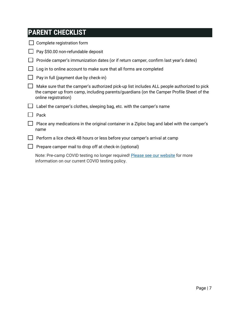| Complete registration form                                                                                                                                                                                     |
|----------------------------------------------------------------------------------------------------------------------------------------------------------------------------------------------------------------|
| Pay \$50.00 non-refundable deposit                                                                                                                                                                             |
| Provide camper's immunization dates (or if return camper, confirm last year's dates)                                                                                                                           |
| Log in to online account to make sure that all forms are completed                                                                                                                                             |
| Pay in full (payment due by check-in)                                                                                                                                                                          |
| Make sure that the camper's authorized pick-up list includes ALL people authorized to pick<br>the camper up from camp, including parents/guardians (on the Camper Profile Sheet of the<br>online registration) |
| Label the camper's clothes, sleeping bag, etc. with the camper's name                                                                                                                                          |
| Pack                                                                                                                                                                                                           |
| Place any medications in the original container in a Ziploc bag and label with the camper's<br>name                                                                                                            |
| Perform a lice check 48 hours or less before your camper's arrival at camp                                                                                                                                     |
| Prepare camper mail to drop off at check-in (optional)                                                                                                                                                         |
| Note: Pre-camp COVID testing no longer required! Please see our website for more<br>information on our current COVID testing policy.                                                                           |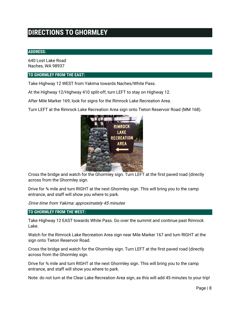## **DIRECTIONS TO GHORMLEY**

#### **ADDRESS:**

640 Lost Lake Road Naches, WA 98937

#### **TO GHORMLEY FROM THE EAST:**

Take Highway 12 WEST from Yakima towards Naches/White Pass.

At the Highway 12/Highway 410 split-off, turn LEFT to stay on Highway 12.

After Mile Marker 169, look for signs for the Rimrock Lake Recreation Area.

Turn LEFT at the Rimrock Lake Recreation Area sign onto Tieton Reservoir Road (MM 168).



Cross the bridge and watch for the Ghormley sign. Turn LEFT at the first paved road (directly across from the Ghormley sign.

Drive for ¾ mile and turn RIGHT at the next Ghormley sign. This will bring you to the camp entrance, and staff will show you where to park.

Drive time from Yakima: approximately 45 minutes

#### **TO GHORMLEY FROM THE WEST:**

Take Highway 12 EAST towards White Pass. Go over the summit and continue past Rimrock Lake.

Watch for the Rimrock Lake Recreation Area sign near Mile Marker 167 and turn RIGHT at the sign onto Tieton Reservoir Road.

Cross the bridge and watch for the Ghormley sign. Turn LEFT at the first paved road (directly across from the Ghormley sign.

Drive for ¾ mile and turn RIGHT at the next Ghormley sign. This will bring you to the camp entrance, and staff will show you where to park.

Note: do not turn at the Clear Lake Recreation Area sign, as this will add 45 minutes to your trip!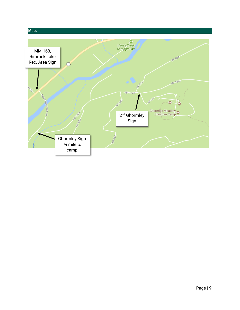#### **Map:**

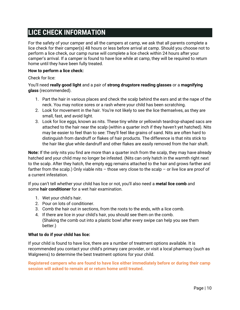## **LICE CHECK INFORMATION**

For the safety of your camper and all the campers at camp, we ask that all parents complete a lice check for their camper(s) 48 hours or less before arrival at camp. Should you choose not to perform a lice check, our camp nurse will complete a lice check within 24 hours after your camper's arrival. If a camper is found to have lice while at camp, they will be required to return home until they have been fully treated.

#### **How to perform a lice check:**

Check for lice:

You'll need **really good light** and a pair of **strong drugstore reading glasses** or a **magnifying glass** (recommended).

- 1. Part the hair in various places and check the scalp behind the ears and at the nape of the neck. You may notice sores or a rash where your child has been scratching.
- 2. Look for movement in the hair. You're not likely to see the lice themselves, as they are small, fast, and avoid light.
- 3. Look for lice eggs, known as nits. These tiny white or yellowish teardrop-shaped sacs are attached to the hair near the scalp (within a quarter inch if they haven't yet hatched). Nits may be easier to feel than to see: They'll feel like grains of sand. Nits are often hard to distinguish from dandruff or flakes of hair products. The difference is that nits stick to the hair like glue while dandruff and other flakes are easily removed from the hair shaft.

**Note:** If the only nits you find are more than a quarter inch from the scalp, they may have already hatched and your child may no longer be infested. (Nits can only hatch in the warmth right next to the scalp. After they hatch, the empty egg remains attached to the hair and grows farther and farther from the scalp.) Only viable nits – those very close to the scalp – or live lice are proof of a current infestation.

If you can't tell whether your child has lice or not, you'll also need a **metal lice comb** and some **hair conditioner** for a wet hair examination.

- 1. Wet your child's hair.
- 2. Pour on lots of conditioner.
- 3. Comb the hair out in sections, from the roots to the ends, with a lice comb.
- 4. If there are lice in your child's hair, you should see them on the comb. (Shaking the comb out into a plastic bowl after every swipe can help you see them better.)

#### **What to do if your child has lice:**

If your child is found to have lice, there are a number of treatment options available. It is recommended you contact your child's primary care provider, or visit a local pharmacy (such as Walgreens) to determine the best treatment options for your child.

**Registered campers who are found to have lice either immediately before or during their camp session will asked to remain at or return home until treated.**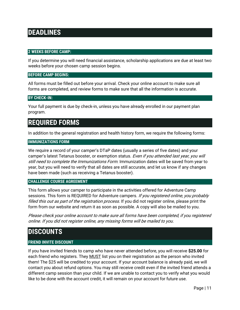## **DEADLINES**

#### **2 WEEKS BEFORE CAMP:**

If you determine you will need financial assistance, scholarship applications are due at least two weeks before your chosen camp session begins.

#### **BEFORE CAMP BEGINS:**

All forms must be filled out before your arrival. Check your online account to make sure all forms are completed, and review forms to make sure that all the information is accurate.

#### **BY CHECK-IN:**

Your full payment is due by check-in, unless you have already enrolled in our payment plan program.

### **REQUIRED FORMS**

In addition to the general registration and health history form, we require the following forms:

#### **IMMUNIZATIONS FORM**

We require a record of your camper's DTaP dates (usually a series of five dates) and your camper's latest Tetanus booster, or exemption status. *Even if you attended last year, you will* still need to complete the Immunizations Form. Immunization dates will be saved from year to year, but you will need to verify that all dates are still accurate, and let us know if any changes have been made (such as receiving a Tetanus booster).

#### **CHALLENGE COURSE AGREEMENT**

This form allows your camper to participate in the activities offered for Adventure Camp sessions. This form is REQUIRED for Adventure campers. If you registered online, you probably filled this out as part of the registration process. If you did not register online, please print the form from our website and return it as soon as possible. A copy will also be mailed to you.

Please check your online account to make sure all forms have been completed, if you registered online. If you did not register online, any missing forms will be mailed to you.

### **DISCOUNTS**

#### **FRIEND INVITE DISCOUNT**

If you have invited friends to camp who have never attended before, you will receive **\$25.00** for each friend who registers. They MUST list you on their registration as the person who invited them! The \$25 will be credited to your account. If your account balance is already paid, we will contact you about refund options. You may still receive credit even if the invited friend attends a different camp session than your child. If we are unable to contact you to verify what you would like to be done with the account credit, it will remain on your account for future use.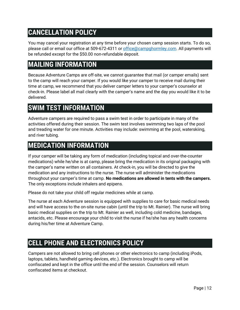## **CANCELLATION POLICY**

You may cancel your registration at any time before your chosen camp session starts. To do so, please call or email our office at 509-672-4311 or [office@campg](mailto:office@camp)hormley.com. All payments will be refunded except for the \$50.00 non-refundable deposit.

## **MAILING INFORMATION**

Because Adventure Camps are off-site, we cannot guarantee that mail (or camper emails) sent to the camp will reach your camper. If you would like your camper to receive mail during their time at camp, we recommend that you deliver camper letters to your camper's counselor at check-in. Please label all mail clearly with the camper's name and the day you would like it to be delivered.

## **SWIM TEST INFORMATION**

Adventure campers are required to pass a swim test in order to participate in many of the activities offered during their session. The swim test involves swimming two laps of the pool and treading water for one minute. Activities may include: swimming at the pool, waterskiing, and river tubing.

## **MEDICATION INFORMATION**

If your camper will be taking any form of medication (including topical and over-the-counter medications) while he/she is at camp, please bring the medication in its original packaging with the camper's name written on all containers. At check-in, you will be directed to give the medication and any instructions to the nurse. The nurse will administer the medications throughout your camper's time at camp. **No medications are allowed in tents with the campers.** The only exceptions include inhalers and epipens.

Please do not take your child off regular medicines while at camp.

The nurse at each Adventure session is equipped with supplies to care for basic medical needs and will have access to the on-site nurse cabin (until the trip to Mt. Rainier). The nurse will bring basic medical supplies on the trip to Mt. Rainier as well, including cold medicine, bandages, antacids, etc. Please encourage your child to visit the nurse if he/she has any health concerns during his/her time at Adventure Camp.

## **CELL PHONE AND ELECTRONICS POLICY**

Campers are not allowed to bring cell phones or other electronics to camp (including iPods, laptops, tablets, handheld gaming devices, etc.). Electronics brought to camp will be confiscated and kept in the office until the end of the session. Counselors will return confiscated items at checkout.